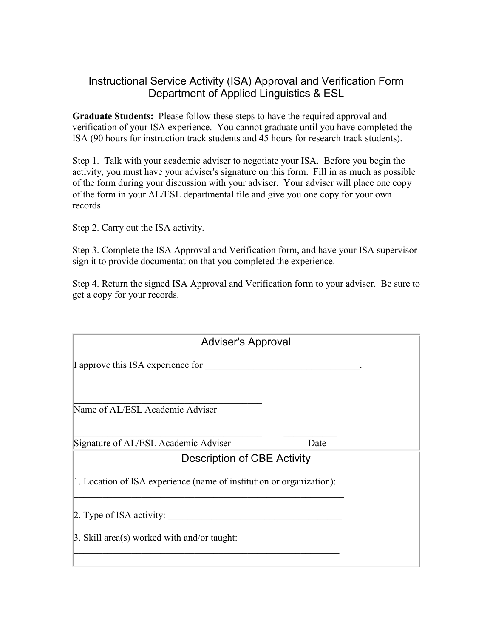## Instructional Service Activity (ISA) Approval and Verification Form Department of Applied Linguistics & ESL

**Graduate Students:** Please follow these steps to have the required approval and verification of your ISA experience. You cannot graduate until you have completed the ISA (90 hours for instruction track students and 45 hours for research track students).

Step 1. Talk with your academic adviser to negotiate your ISA. Before you begin the activity, you must have your adviser's signature on this form. Fill in as much as possible of the form during your discussion with your adviser. Your adviser will place one copy of the form in your AL/ESL departmental file and give you one copy for your own records.

Step 2. Carry out the ISA activity.

Step 3. Complete the ISA Approval and Verification form, and have your ISA supervisor sign it to provide documentation that you completed the experience.

Step 4. Return the signed ISA Approval and Verification form to your adviser. Be sure to get a copy for your records.

| <b>Adviser's Approval</b>                                            |      |  |  |
|----------------------------------------------------------------------|------|--|--|
| I approve this ISA experience for                                    |      |  |  |
| Name of AL/ESL Academic Adviser                                      |      |  |  |
| Signature of AL/ESL Academic Adviser                                 | Date |  |  |
| <b>Description of CBE Activity</b>                                   |      |  |  |
| 1. Location of ISA experience (name of institution or organization): |      |  |  |
| $\vert$ 2. Type of ISA activity:                                     |      |  |  |
| $\beta$ . Skill area(s) worked with and/or taught:                   |      |  |  |
|                                                                      |      |  |  |